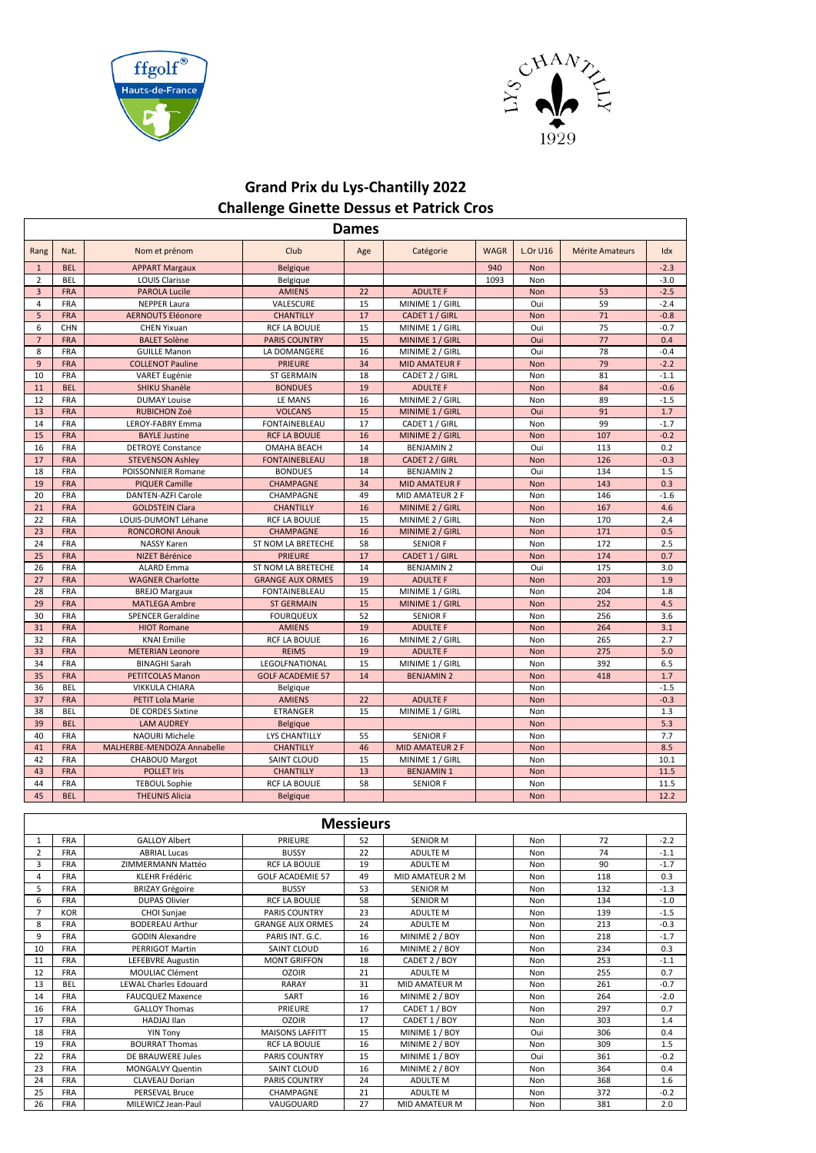



## **Grand Prix du Lys-Chantilly 2022 Challenge Ginette Dessus et Patrick Cros**

| <b>Dames</b>   |                   |                                               |                                            |                  |                                     |             |                 |                        |               |  |  |
|----------------|-------------------|-----------------------------------------------|--------------------------------------------|------------------|-------------------------------------|-------------|-----------------|------------------------|---------------|--|--|
| Rang           | Nat.              | Nom et prénom                                 | Club                                       | Age              | Catégorie                           | <b>WAGR</b> | <b>L.Or U16</b> | <b>Mérite Amateurs</b> | Idx           |  |  |
| $\mathbf{1}$   | <b>BEL</b>        | <b>APPART Margaux</b>                         | <b>Belgique</b>                            |                  |                                     | 940         | <b>Non</b>      |                        | $-2.3$        |  |  |
| $\overline{2}$ | BEL               | <b>LOUIS Clarisse</b>                         | Belgique                                   |                  |                                     | 1093        | Non             |                        | $-3.0$        |  |  |
| $\overline{3}$ | <b>FRA</b>        | <b>PAROLA Lucile</b>                          | <b>AMIENS</b>                              | 22               | <b>ADULTE F</b>                     |             | Non             | 53                     | $-2.5$        |  |  |
| $\overline{4}$ | FRA               | <b>NEPPER Laura</b>                           | VALESCURE                                  | 15               | MINIME 1 / GIRL                     |             | Oui             | 59                     | $-2.4$        |  |  |
| 5              | <b>FRA</b>        | <b>AERNOUTS Eléonore</b>                      | <b>CHANTILLY</b>                           | 17               | CADET 1 / GIRL                      |             | Non             | 71                     | $-0.8$        |  |  |
| 6              | <b>CHN</b>        | <b>CHEN Yixuan</b>                            | <b>RCF LA BOULIE</b>                       | 15               | MINIME 1 / GIRL                     |             | Oui             | 75                     | $-0.7$        |  |  |
| $\overline{7}$ | <b>FRA</b>        | <b>BALET Solène</b>                           | <b>PARIS COUNTRY</b>                       | 15               | MINIME 1 / GIRL                     |             | Oui             | 77                     | 0.4           |  |  |
| 8              | <b>FRA</b>        | <b>GUILLE Manon</b>                           | LA DOMANGERE                               | 16               | MINIME 2 / GIRL                     |             | Oui             | 78                     | $-0.4$        |  |  |
| $\overline{9}$ | <b>FRA</b>        | <b>COLLENOT Pauline</b>                       | <b>PRIEURE</b>                             | 34               | <b>MID AMATEUR F</b>                |             | Non             | 79                     | $-2.2$        |  |  |
| 10             | FRA               | VARET Eugénie                                 | <b>ST GERMAIN</b>                          | 18               | CADET 2 / GIRL                      |             | Non             | 81                     | $-1.1$        |  |  |
| 11             | <b>BEL</b>        | SHIKU Shanèle                                 | <b>BONDUES</b>                             | 19               | <b>ADULTE F</b>                     |             | Non             | 84                     | $-0.6$        |  |  |
| 12             | <b>FRA</b>        | <b>DUMAY Louise</b>                           | LE MANS                                    | 16               | MINIME 2 / GIRL                     |             | Non             | 89                     | $-1.5$        |  |  |
| 13             | <b>FRA</b>        | <b>RUBICHON Zoé</b>                           | <b>VOLCANS</b>                             | 15               | MINIME 1 / GIRL                     |             | Oui             | 91<br>99               | 1.7           |  |  |
| 14             | <b>FRA</b>        | LEROY-FABRY Emma                              | <b>FONTAINEBLEAU</b>                       | 17               | CADET 1 / GIRL                      |             | Non             |                        | $-1.7$        |  |  |
| 15             | <b>FRA</b>        | <b>BAYLE Justine</b>                          | <b>RCF LA BOULIE</b><br><b>OMAHA BEACH</b> | 16               | MINIME 2 / GIRL                     |             | Non             | 107<br>113             | $-0.2$        |  |  |
| 16             | FRA<br><b>FRA</b> | <b>DETROYE Constance</b>                      |                                            | 14               | <b>BENJAMIN 2</b>                   |             | Oui             | 126                    | 0.2           |  |  |
| 17<br>18       | FRA               | <b>STEVENSON Ashley</b><br>POISSONNIER Romane | <b>FONTAINEBLEAU</b><br><b>BONDUES</b>     | 18<br>14         | CADET 2 / GIRL<br><b>BENJAMIN 2</b> |             | Non<br>Oui      | 134                    | $-0.3$<br>1.5 |  |  |
| 19             | <b>FRA</b>        | <b>PIQUER Camille</b>                         | <b>CHAMPAGNE</b>                           | 34               | <b>MID AMATEUR F</b>                |             | <b>Non</b>      | 143                    | 0.3           |  |  |
| 20             | <b>FRA</b>        | <b>DANTEN-AZFI Carole</b>                     | CHAMPAGNE                                  | 49               | MID AMATEUR 2 F                     |             | Non             | 146                    | $-1.6$        |  |  |
| 21             | <b>FRA</b>        | <b>GOLDSTEIN Clara</b>                        | <b>CHANTILLY</b>                           | 16               | MINIME 2 / GIRL                     |             | Non             | 167                    | 4.6           |  |  |
| 22             | FRA               | LOUIS-DUMONT Léhane                           | <b>RCF LA BOULIE</b>                       | 15               | MINIME 2 / GIRL                     |             | Non             | 170                    | 2,4           |  |  |
| 23             | <b>FRA</b>        | <b>RONCORONI Anouk</b>                        | <b>CHAMPAGNE</b>                           | 16               | MINIME 2 / GIRL                     |             | Non             | 171                    | 0.5           |  |  |
| 24             | <b>FRA</b>        | <b>NASSY Karen</b>                            | ST NOM LA BRETECHE                         | 58               | <b>SENIOR F</b>                     |             | Non             | 172                    | 2.5           |  |  |
| 25             | <b>FRA</b>        | NIZET Bérénice                                | <b>PRIEURE</b>                             | 17               | CADET 1 / GIRL                      |             | Non             | 174                    | 0.7           |  |  |
| 26             | <b>FRA</b>        | <b>ALARD Emma</b>                             | ST NOM LA BRETECHE                         | 14               | <b>BENJAMIN 2</b>                   |             | Oui             | 175                    | 3.0           |  |  |
| 27             | <b>FRA</b>        | <b>WAGNER Charlotte</b>                       | <b>GRANGE AUX ORMES</b>                    | 19               | <b>ADULTE F</b>                     |             | Non             | 203                    | 1.9           |  |  |
| 28             | <b>FRA</b>        | <b>BREJO Margaux</b>                          | FONTAINEBLEAU                              | 15               | MINIME 1 / GIRL                     |             | Non             | 204                    | 1.8           |  |  |
| 29             | <b>FRA</b>        | <b>MATLEGA Ambre</b>                          | <b>ST GERMAIN</b>                          | 15               | MINIME 1 / GIRL                     |             | Non             | 252                    | 4.5           |  |  |
| 30             | FRA               | <b>SPENCER Geraldine</b>                      | <b>FOURQUEUX</b>                           | 52               | <b>SENIOR F</b>                     |             | Non             | 256                    | 3.6           |  |  |
| 31             | <b>FRA</b>        | <b>HIOT Romane</b>                            | <b>AMIENS</b>                              | 19               | <b>ADULTE F</b>                     |             | Non             | 264                    | 3.1           |  |  |
| 32             | FRA               | <b>KNAI Emilie</b>                            | <b>RCF LA BOULIE</b>                       | 16               | MINIME 2 / GIRL                     |             | Non             | 265                    | 2.7           |  |  |
| 33             | <b>FRA</b>        | <b>METERIAN Leonore</b>                       | <b>REIMS</b>                               | 19               | <b>ADULTE F</b>                     |             | Non             | 275                    | 5.0           |  |  |
| 34             | <b>FRA</b>        | <b>BINAGHI Sarah</b>                          | LEGOLFNATIONAL                             | 15               | MINIME 1 / GIRL                     |             | Non             | 392                    | 6.5           |  |  |
| 35             | <b>FRA</b>        | PETITCOLAS Manon                              | <b>GOLF ACADEMIE 57</b>                    | 14               | <b>BENJAMIN 2</b>                   |             | Non             | 418                    | 1.7           |  |  |
| 36             | <b>BEL</b>        | <b>VIKKULA CHIARA</b>                         | Belgique                                   |                  |                                     |             | Non             |                        | $-1.5$        |  |  |
| 37             | <b>FRA</b>        | <b>PETIT Lola Marie</b>                       | <b>AMIENS</b>                              | 22               | <b>ADULTE F</b>                     |             | Non             |                        | $-0.3$        |  |  |
| 38             | <b>BEL</b>        | DE CORDES Sixtine                             | <b>ETRANGER</b>                            | 15               | MINIME 1 / GIRL                     |             | Non             |                        | 1.3           |  |  |
| 39             | <b>BEL</b>        | <b>LAM AUDREY</b>                             | <b>Belgique</b>                            |                  |                                     |             | Non             |                        | 5.3           |  |  |
| 40             | FRA               | NAOURI Michele                                | <b>LYS CHANTILLY</b>                       | 55               | <b>SENIOR F</b>                     |             | Non             |                        | 7.7           |  |  |
| 41             | <b>FRA</b>        | MALHERBE-MENDOZA Annabelle                    | <b>CHANTILLY</b>                           | 46               | <b>MID AMATEUR 2 F</b>              |             | Non             |                        | 8.5           |  |  |
| 42             | FRA               | <b>CHABOUD Margot</b>                         | <b>SAINT CLOUD</b>                         | 15               | MINIME 1 / GIRL                     |             | Non             |                        | 10.1          |  |  |
| 43             | <b>FRA</b>        | <b>POLLET Iris</b>                            | <b>CHANTILLY</b>                           | 13               | <b>BENJAMIN1</b>                    |             | Non             |                        | 11.5          |  |  |
| 44             | FRA               | <b>TEBOUL Sophie</b>                          | <b>RCF LA BOULIE</b>                       | 58               | <b>SENIOR F</b>                     |             | Non             |                        | 11.5          |  |  |
| 45             | <b>BEL</b>        | <b>THEUNIS Alicia</b>                         | <b>Belgique</b>                            |                  |                                     |             | Non             |                        | 12.2          |  |  |
|                |                   |                                               |                                            | <b>Messieurs</b> |                                     |             |                 |                        |               |  |  |
|                |                   |                                               |                                            |                  |                                     |             |                 |                        |               |  |  |
| 1              | FRA               | <b>GALLOY Albert</b>                          | PRIEURE                                    | 52               | <b>SENIOR M</b>                     |             | Non             | 72                     | $-2.2$        |  |  |
| $\mathbf 2$    | FRA               | <b>ABRIAL Lucas</b>                           | <b>BUSSY</b>                               | 22               | ADULTE M                            |             | Non             | 74                     | $-1.1$        |  |  |
| 3              | FRA               | ZIMMERMANN Mattéo                             | RCF LA BOULIE                              | 19               | ADULTE M                            |             | Non             | 90                     | $-1.7$        |  |  |
| $\overline{4}$ | FRA               | <b>KLEHR Frédéric</b>                         | <b>GOLF ACADEMIE 57</b>                    | 49               | MID AMATEUR 2 M                     |             | Non             | 118                    | 0.3           |  |  |
| 5              | <b>FRA</b>        | <b>BRIZAY Grégoire</b>                        | <b>BUSSY</b>                               | 53               | <b>SENIOR M</b>                     |             | Non             | 132                    | $-1.3$        |  |  |
| 6              | <b>FRA</b>        | <b>DUPAS Olivier</b>                          | RCF LA BOULIE                              | 58               | <b>SENIOR M</b>                     |             | Non             | 134                    | $-1.0$        |  |  |
| $\overline{7}$ | <b>KOR</b>        | CHOI Sunjae                                   | PARIS COUNTRY                              | 23               | ADULTE M                            |             | Non             | 139                    | $-1.5$        |  |  |
| 8              | FRA               | <b>BODEREAU Arthur</b>                        | <b>GRANGE AUX ORMES</b>                    | 24               | ADULTE M                            |             | Non             | 213                    | -0.3          |  |  |
| 9              | <b>FRA</b>        | <b>GODIN Alexandre</b>                        | PARIS INT. G.C.                            | 16               | MINIME 2 / BOY                      |             | Non             | 218                    | $-1.7$        |  |  |
| 10             | <b>FRA</b>        | PERRIGOT Martin                               | SAINT CLOUD                                | 16               | MINIME 2 / BOY                      |             | Non             | 234                    | 0.3           |  |  |
| 11             | <b>FRA</b>        | LEFEBVRE Augustin                             | <b>MONT GRIFFON</b>                        | 18               | CADET 2 / BOY                       |             | Non             | 253                    | $-1.1$        |  |  |
| 12             | FRA               | MOULIAC Clément                               | <b>OZOIR</b>                               | 21               | ADULTE M                            |             | Non             | 255                    | 0.7           |  |  |

13 BEL LEWAL Charles Edouard RARAY 31 MID AMATEUR M Non 261 -0.7<br>14 FRA FAUCQUEZ Maxence SART 16 MINIME 2 / BOY Non 264 -2.0

16 FRA GALLOY Thomas (PRIEURE 17 CADET 1/ BOY Non 297 0.7 FRA HADJAJ Ilan OZOIR 17 CADET 1 / BOY Non 303 1.4 18 FRA YIN Tony MAISONS LAFFITT 15 MINIME 1 / BOY Oui 306 0.4<br>19 FRA BOURRAT Thomas RCF LA BOULIE 16 MINIME 2 / BOY Non 309 1.5 19 FRA BOURRAT Thomas RCF LA BOULIE 16 MINIME 2 / BOY Non 309 1.5<br>22 FRA DE BRAUWERE Jules PARIS COUNTRY 15 MINIME 1 / BOY Oui 361 -0.2 22 FRA DE BRAUWERE Jules PARIS COUNTRY 15 MINIME 1 / BOY Oui 361 -0.2<br>23 FRA MONGALVY Quentin SAINT CLOUD 16 MINIME 2 / BOY Non 364 0.4

 FRA CLAVEAU Dorian PARIS COUNTRY 24 ADULTE M Non 368 1.6 FRA PERSEVAL Bruce CHAMPAGNE 21 ADULTE M Non 372 -0.2 26 FRA | MILEWICZ Jean-Paul | VAUGOUARD | 27 | MID AMATEUR M | | Non | 381 | 2.0

23 FRA MONGALVY Quentin SAINT CLOUD 16 MINIME 2 / BOY NON 364<br>24 FRA CLAVEAU Dorian PARIS COUNTRY 24 ADULTE M Non 368

14 FAUCQUEZ Maxence **14 FAUCQUEZ Maxence** 14 FAUCQUEZ Maxence 14 SART 16 MINIME 2 / BOY Non 264 -2.0<br>14 GALLOY Thomas 14 PRIEURE 17 CADET 1 / BOY Non 297 0.7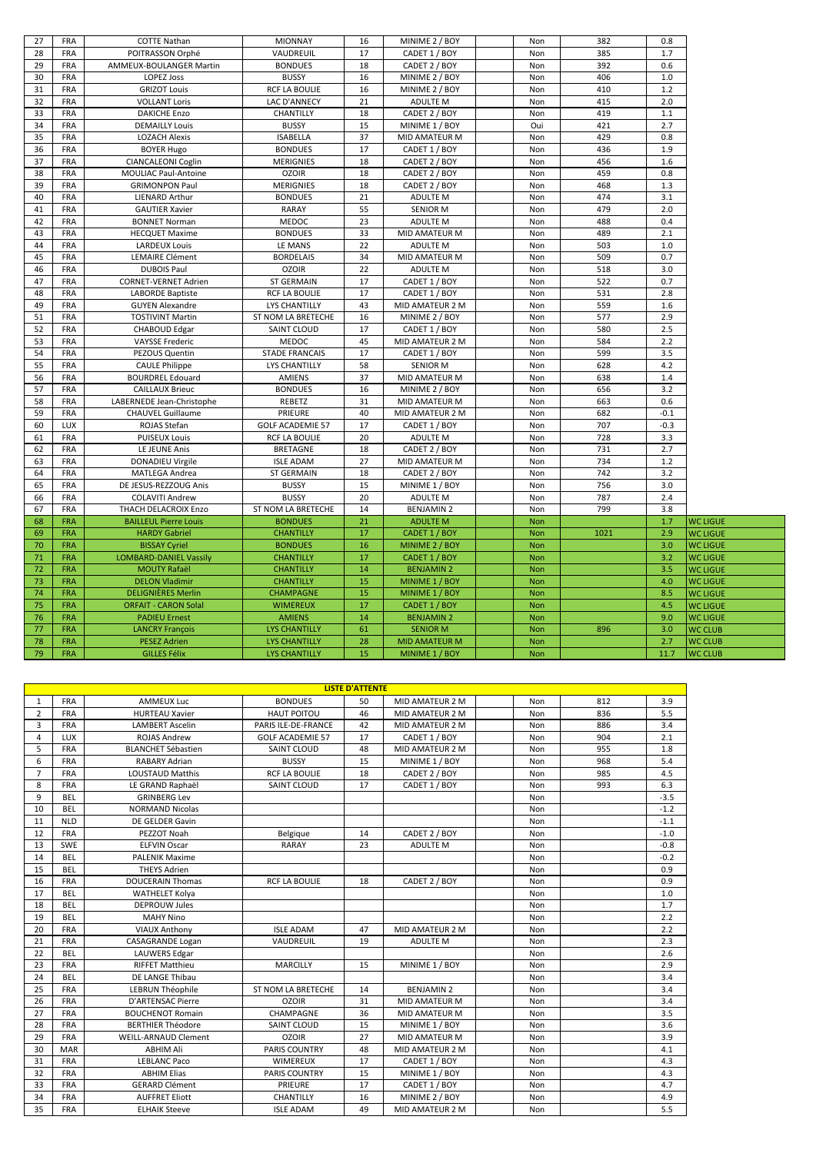| 27       | <b>FRA</b>               | <b>COTTE Nathan</b>                              | <b>MIONNAY</b>               | 16       | MINIME 2 / BOY                    | Non        | 382        | 0.8        |                 |
|----------|--------------------------|--------------------------------------------------|------------------------------|----------|-----------------------------------|------------|------------|------------|-----------------|
| 28       | FRA                      | POITRASSON Orphé                                 | VAUDREUIL                    | 17       | CADET 1 / BOY                     | Non        | 385        | 1.7        |                 |
| 29       | <b>FRA</b>               | AMMEUX-BOULANGER Martin                          | <b>BONDUES</b>               | 18       | CADET 2 / BOY                     | Non        | 392        | 0.6        |                 |
| 30       | FRA                      | <b>LOPEZ Joss</b>                                | <b>BUSSY</b>                 | 16       | MINIME 2 / BOY                    | Non        | 406        | 1.0        |                 |
| 31       | FRA                      | <b>GRIZOT Louis</b>                              | <b>RCF LA BOULIE</b>         | 16       | MINIME 2 / BOY                    | Non        | 410        | 1.2        |                 |
| 32       | FRA                      | <b>VOLLANT Loris</b>                             | LAC D'ANNECY                 | 21       | ADULTE M                          | Non        | 415        | 2.0        |                 |
| 33       | <b>FRA</b>               | <b>DAKICHE Enzo</b>                              | CHANTILLY                    | 18       | CADET 2 / BOY                     | Non        | 419        | 1.1        |                 |
| 34       | FRA                      | <b>DEMAILLY Louis</b>                            | <b>BUSSY</b>                 | 15       | MINIME 1 / BOY                    | Oui        | 421        | 2.7        |                 |
| 35       | <b>FRA</b>               | <b>LOZACH Alexis</b>                             | <b>ISABELLA</b>              | 37       | MID AMATEUR M                     | Non        | 429        | 0.8        |                 |
| 36       | <b>FRA</b>               | <b>BOYER Hugo</b>                                | <b>BONDUES</b>               | 17       | CADET 1 / BOY                     | Non        | 436        | 1.9        |                 |
| 37       | <b>FRA</b>               | CIANCALEONI Coglin                               | <b>MERIGNIES</b>             | 18       | CADET 2 / BOY                     | Non        | 456        | 1.6        |                 |
| 38       | FRA                      | <b>MOULIAC Paul-Antoine</b>                      | <b>OZOIR</b>                 | 18       | CADET 2 / BOY                     | Non        | 459        | 0.8        |                 |
| 39       | FRA                      | <b>GRIMONPON Paul</b>                            | <b>MERIGNIES</b>             | 18       | CADET 2 / BOY                     | Non        | 468        | 1.3        |                 |
| 40       | <b>FRA</b>               | <b>LIENARD Arthur</b>                            | <b>BONDUES</b>               | 21       | <b>ADULTE M</b>                   | Non        | 474        | 3.1        |                 |
| 41       | FRA                      | <b>GAUTIER Xavier</b>                            | <b>RARAY</b>                 | 55       | <b>SENIOR M</b>                   | Non        | 479        | 2.0        |                 |
| 42       | <b>FRA</b>               | <b>BONNET Norman</b>                             | MEDOC                        | 23       | <b>ADULTE M</b>                   | Non        | 488        | 0.4        |                 |
| 43       | FRA                      | <b>HECQUET Maxime</b>                            | <b>BONDUES</b>               | 33       | MID AMATEUR M                     | Non        | 489        | 2.1        |                 |
| 44       | <b>FRA</b>               | <b>LARDEUX Louis</b>                             | LE MANS                      | 22       | <b>ADULTE M</b>                   |            | 503        | 1.0        |                 |
| 45       | FRA                      | <b>LEMAIRE Clément</b>                           | <b>BORDELAIS</b>             | 34       | MID AMATEUR M                     | Non<br>Non | 509        | 0.7        |                 |
| 46       | <b>FRA</b>               | <b>DUBOIS Paul</b>                               | <b>OZOIR</b>                 | 22       | <b>ADULTE M</b>                   |            | 518        | 3.0        |                 |
| 47       | <b>FRA</b>               | <b>CORNET-VERNET Adrien</b>                      | <b>ST GERMAIN</b>            | 17       | CADET 1 / BOY                     | Non        | 522        | 0.7        |                 |
|          | <b>FRA</b>               |                                                  | <b>RCF LA BOULIE</b>         | 17       | CADET 1 / BOY                     | Non        |            | 2.8        |                 |
| 48       |                          | <b>LABORDE Baptiste</b>                          |                              | 43       |                                   | Non        | 531        |            |                 |
| 49<br>51 | FRA<br><b>FRA</b>        | <b>GUYEN Alexandre</b>                           | <b>LYS CHANTILLY</b>         | 16       | MID AMATEUR 2 M<br>MINIME 2 / BOY | Non<br>Non | 559<br>577 | 1.6<br>2.9 |                 |
|          |                          | <b>TOSTIVINT Martin</b>                          | ST NOM LA BRETECHE           |          |                                   |            | 580        | 2.5        |                 |
| 52<br>53 | FRA<br>FRA               | <b>CHABOUD Edgar</b>                             | SAINT CLOUD<br>MEDOC         | 17<br>45 | CADET 1 / BOY<br>MID AMATEUR 2 M  | Non        | 584        | 2.2        |                 |
| 54       | <b>FRA</b>               | <b>VAYSSE Frederic</b><br>PEZOUS Quentin         | <b>STADE FRANCAIS</b>        | 17       | CADET 1 / BOY                     | Non<br>Non | 599        | 3.5        |                 |
| 55       | FRA                      |                                                  | <b>LYS CHANTILLY</b>         | 58       | <b>SENIOR M</b>                   | Non        | 628        | 4.2        |                 |
| 56       | FRA                      | <b>CAULE Philippe</b><br><b>BOURDREL Edouard</b> | <b>AMIENS</b>                | 37       | MID AMATEUR M                     | Non        | 638        | 1.4        |                 |
| 57       | FRA                      | <b>CAILLAUX Brieuc</b>                           | <b>BONDUES</b>               | 16       | MINIME 2 / BOY                    |            | 656        | 3.2        |                 |
| 58       | <b>FRA</b>               | LABERNEDE Jean-Christophe                        | REBETZ                       | 31       | MID AMATEUR M                     | Non<br>Non | 663        | 0.6        |                 |
| 59       | FRA                      | <b>CHAUVEL Guillaume</b>                         | PRIEURE                      | 40       | MID AMATEUR 2 M                   | Non        | 682        | $-0.1$     |                 |
| 60       | LUX                      | ROJAS Stefan                                     | <b>GOLF ACADEMIE 57</b>      | 17       | CADET 1 / BOY                     | Non        | 707        | $-0.3$     |                 |
| 61       | <b>FRA</b>               | <b>PUISEUX Louis</b>                             | <b>RCF LA BOULIE</b>         | 20       | <b>ADULTE M</b>                   | Non        | 728        | 3.3        |                 |
| 62       | <b>FRA</b>               | LE JEUNE Anis                                    | <b>BRETAGNE</b>              | 18       | CADET 2 / BOY                     | Non        | 731        | 2.7        |                 |
| 63       | FRA                      | <b>DONADIEU Virgile</b>                          | <b>ISLE ADAM</b>             | 27       | MID AMATEUR M                     | Non        | 734        | 1.2        |                 |
| 64       | <b>FRA</b>               | <b>MATLEGA Andrea</b>                            | <b>ST GERMAIN</b>            | 18       | CADET 2 / BOY                     | Non        | 742        | 3.2        |                 |
|          |                          |                                                  |                              |          |                                   |            | 756        |            |                 |
| 65<br>66 | <b>FRA</b><br><b>FRA</b> | DE JESUS-REZZOUG Anis<br><b>COLAVITI Andrew</b>  | <b>BUSSY</b><br><b>BUSSY</b> | 15<br>20 | MINIME 1 / BOY<br>ADULTE M        | Non<br>Non | 787        | 3.0<br>2.4 |                 |
| 67       | <b>FRA</b>               | THACH DELACROIX Enzo                             | ST NOM LA BRETECHE           | 14       | <b>BENJAMIN 2</b>                 | Non        | 799        | 3.8        |                 |
| 68       | <b>FRA</b>               | <b>BAILLEUL Pierre Louis</b>                     | <b>BONDUES</b>               | 21       | <b>ADULTE M</b>                   | <b>Non</b> |            | 1.7        | <b>WC LIGUE</b> |
| 69       | <b>FRA</b>               | <b>HARDY Gabriel</b>                             | <b>CHANTILLY</b>             | 17       | CADET 1 / BOY                     | Non        | 1021       | 2.9        | <b>WC LIGUE</b> |
| 70       | <b>FRA</b>               | <b>BISSAY Cyriel</b>                             | <b>BONDUES</b>               | 16       | MINIME 2 / BOY                    | Non        |            | 3.0        | <b>WC LIGUE</b> |
| 71       | <b>FRA</b>               | <b>LOMBARD-DANIEL Vassily</b>                    | <b>CHANTILLY</b>             | 17       | CADET 1 / BOY                     | Non        |            | 3.2        | <b>WC LIGUE</b> |
| 72       | FRA                      | <b>MOUTY Rafaël</b>                              | <b>CHANTILLY</b>             | 14       | <b>BENJAMIN 2</b>                 | <b>Non</b> |            | 3.5        | <b>WC LIGUE</b> |
| 73       | <b>FRA</b>               | <b>DELON Vladimir</b>                            | <b>CHANTILLY</b>             | 15       | MINIME 1 / BOY                    | Non        |            | 4.0        | <b>WC LIGUE</b> |
| 74       | <b>FRA</b>               | <b>DELIGNIÈRES Merlin</b>                        | <b>CHAMPAGNE</b>             | 15       | MINIME 1 / BOY                    | <b>Non</b> |            | 8.5        | <b>WC LIGUE</b> |
| 75       | <b>FRA</b>               | <b>ORFAIT - CARON Solal</b>                      | <b>WIMEREUX</b>              | 17       | CADET 1 / BOY                     | <b>Non</b> |            | 4.5        | <b>WC LIGUE</b> |
| 76       | FRA                      | <b>PADIEU Ernest</b>                             | <b>AMIENS</b>                | 14       | <b>BENJAMIN 2</b>                 | Non        |            | 9.0        | <b>WC LIGUE</b> |
| 77       | FRA                      | <b>LANCRY François</b>                           | <b>LYS CHANTILLY</b>         | 61       | <b>SENIOR M</b>                   | <b>Non</b> | 896        | 3.0        | <b>WC CLUB</b>  |
| 78       | FRA                      | <b>PESEZ Adrien</b>                              | <b>LYS CHANTILLY</b>         | 28       | <b>MID AMATEUR M</b>              | <b>Non</b> |            | 2.7        | <b>WC CLUB</b>  |
| 79       | <b>FRA</b>               | <b>GILLES Félix</b>                              | <b>LYS CHANTILLY</b>         | 15       | MINIME 1 / BOY                    | <b>Non</b> |            | 11.7       | <b>WC CLUB</b>  |
|          |                          |                                                  |                              |          |                                   |            |            |            |                 |

| <b>LISTE D'ATTENTE</b> |            |                             |                         |    |                   |     |     |        |  |  |
|------------------------|------------|-----------------------------|-------------------------|----|-------------------|-----|-----|--------|--|--|
| $\mathbf{1}$           | FRA        | <b>AMMEUX Luc</b>           | <b>BONDUES</b>          | 50 | MID AMATEUR 2 M   | Non | 812 | 3.9    |  |  |
| $\overline{2}$         | <b>FRA</b> | <b>HURTEAU Xavier</b>       | <b>HAUT POITOU</b>      | 46 | MID AMATEUR 2 M   | Non | 836 | 5.5    |  |  |
| 3                      | <b>FRA</b> | <b>LAMBERT Ascelin</b>      | PARIS ILE-DE-FRANCE     | 42 | MID AMATEUR 2 M   | Non | 886 | 3.4    |  |  |
| 4                      | <b>LUX</b> | <b>ROJAS Andrew</b>         | <b>GOLF ACADEMIE 57</b> | 17 | CADET 1 / BOY     | Non | 904 | 2.1    |  |  |
| 5                      | <b>FRA</b> | <b>BLANCHET Sébastien</b>   | <b>SAINT CLOUD</b>      | 48 | MID AMATEUR 2 M   | Non | 955 | 1.8    |  |  |
| 6                      | <b>FRA</b> | RABARY Adrian               | <b>BUSSY</b>            | 15 | MINIME 1 / BOY    | Non | 968 | 5.4    |  |  |
| $\overline{7}$         | <b>FRA</b> | <b>LOUSTAUD Matthis</b>     | <b>RCF LA BOULIE</b>    | 18 | CADET 2 / BOY     | Non | 985 | 4.5    |  |  |
| 8                      | <b>FRA</b> | LE GRAND Raphaël            | <b>SAINT CLOUD</b>      | 17 | CADET 1 / BOY     | Non | 993 | 6.3    |  |  |
| 9                      | <b>BEL</b> | <b>GRINBERG Lev</b>         |                         |    |                   | Non |     | $-3.5$ |  |  |
| 10                     | <b>BEL</b> | <b>NORMAND Nicolas</b>      |                         |    |                   | Non |     | $-1.2$ |  |  |
| 11                     | <b>NLD</b> | DE GELDER Gavin             |                         |    |                   | Non |     | $-1.1$ |  |  |
| 12                     | <b>FRA</b> | PEZZOT Noah                 | Belgique                | 14 | CADET 2 / BOY     | Non |     | $-1.0$ |  |  |
| 13                     | <b>SWE</b> | <b>ELFVIN Oscar</b>         | RARAY                   | 23 | <b>ADULTE M</b>   | Non |     | $-0.8$ |  |  |
| 14                     | <b>BEL</b> | <b>PALENIK Maxime</b>       |                         |    |                   | Non |     | $-0.2$ |  |  |
| 15                     | <b>BEL</b> | <b>THEYS Adrien</b>         |                         |    |                   | Non |     | 0.9    |  |  |
| 16                     | FRA        | <b>DOUCERAIN Thomas</b>     | <b>RCF LA BOULIE</b>    | 18 | CADET 2 / BOY     | Non |     | 0.9    |  |  |
| 17                     | <b>BEL</b> | WATHELET Kolya              |                         |    |                   | Non |     | 1.0    |  |  |
| 18                     | <b>BEL</b> | <b>DEPROUW Jules</b>        |                         |    |                   | Non |     | 1.7    |  |  |
| 19                     | <b>BEL</b> | <b>MAHY Nino</b>            |                         |    |                   | Non |     | 2.2    |  |  |
| 20                     | <b>FRA</b> | <b>VIAUX Anthony</b>        | <b>ISLE ADAM</b>        | 47 | MID AMATEUR 2 M   | Non |     | 2.2    |  |  |
| 21                     | <b>FRA</b> | <b>CASAGRANDE Logan</b>     | VAUDREUIL               | 19 | <b>ADULTE M</b>   | Non |     | 2.3    |  |  |
| 22                     | <b>BEL</b> | <b>LAUWERS Edgar</b>        |                         |    |                   | Non |     | 2.6    |  |  |
| 23                     | <b>FRA</b> | <b>RIFFET Matthieu</b>      | <b>MARCILLY</b>         | 15 | MINIME 1 / BOY    | Non |     | 2.9    |  |  |
| 24                     | <b>BEL</b> | DE LANGE Thibau             |                         |    |                   | Non |     | 3.4    |  |  |
| 25                     | <b>FRA</b> | LEBRUN Théophile            | ST NOM LA BRETECHE      | 14 | <b>BENJAMIN 2</b> | Non |     | 3.4    |  |  |
| 26                     | FRA        | D'ARTENSAC Pierre           | <b>OZOIR</b>            | 31 | MID AMATEUR M     | Non |     | 3.4    |  |  |
| 27                     | <b>FRA</b> | <b>BOUCHENOT Romain</b>     | CHAMPAGNE               | 36 | MID AMATEUR M     | Non |     | 3.5    |  |  |
| 28                     | <b>FRA</b> | <b>BERTHIER Théodore</b>    | <b>SAINT CLOUD</b>      | 15 | MINIME 1 / BOY    | Non |     | 3.6    |  |  |
| 29                     | <b>FRA</b> | <b>WEILL-ARNAUD Clement</b> | <b>OZOIR</b>            | 27 | MID AMATEUR M     | Non |     | 3.9    |  |  |
| 30                     | <b>MAR</b> | <b>ABHIM Ali</b>            | <b>PARIS COUNTRY</b>    | 48 | MID AMATEUR 2 M   | Non |     | 4.1    |  |  |
| 31                     | <b>FRA</b> | <b>LEBLANC Paco</b>         | <b>WIMEREUX</b>         | 17 | CADET 1 / BOY     | Non |     | 4.3    |  |  |
| 32                     | <b>FRA</b> | <b>ABHIM Elias</b>          | PARIS COUNTRY           | 15 | MINIME 1 / BOY    | Non |     | 4.3    |  |  |
| 33                     | <b>FRA</b> | <b>GERARD Clément</b>       | PRIEURE                 | 17 | CADET 1 / BOY     | Non |     | 4.7    |  |  |
| 34                     | <b>FRA</b> | <b>AUFFRET Eliott</b>       | CHANTILLY               | 16 | MINIME 2 / BOY    | Non |     | 4.9    |  |  |
| 35                     | <b>FRA</b> | <b>ELHAIK Steeve</b>        | <b>ISLE ADAM</b>        | 49 | MID AMATEUR 2 M   | Non |     | 5.5    |  |  |